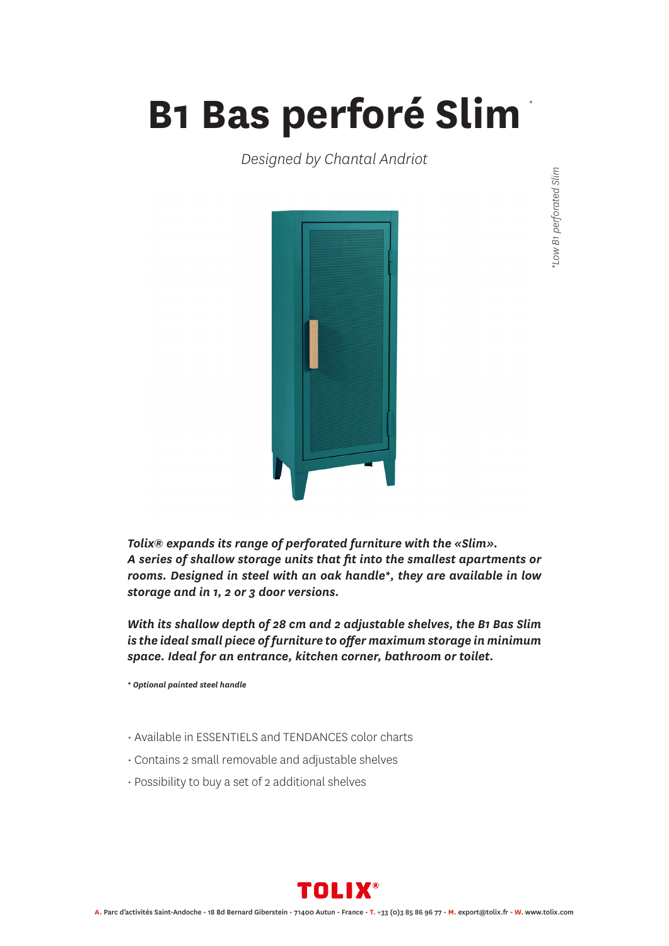## **B1 Bas perforé Slim** *\**

*Designed by Chantal Andriot*



*Tolix® expands its range of perforated furniture with the «Slim». A series of shallow storage units that fit into the smallest apartments or rooms. Designed in steel with an oak handle\*, they are available in low storage and in 1, 2 or 3 door versions.*

*With its shallow depth of 28 cm and 2 adjustable shelves, the B1 Bas Slim is the ideal small piece of furniture to offer maximum storage in minimum space. Ideal for an entrance, kitchen corner, bathroom or toilet.*

*\* Optional painted steel handle*

- Available in ESSENTIELS and TENDANCES color charts
- Contains 2 small removable and adjustable shelves
- Possibility to buy a set of 2 additional shelves